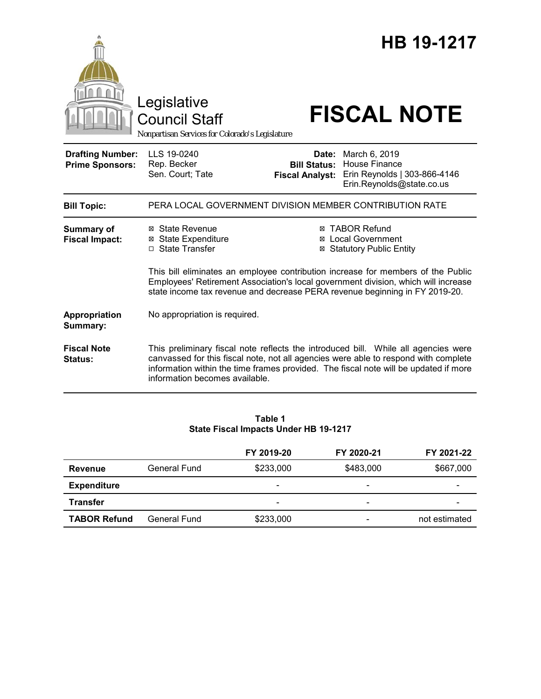|                                                   | Legislative<br><b>Council Staff</b>                                                                                                                                                                                                                                                                 |                                                                                                                                                                                                                                                            | HB 19-1217<br><b>FISCAL NOTE</b>                                                                   |
|---------------------------------------------------|-----------------------------------------------------------------------------------------------------------------------------------------------------------------------------------------------------------------------------------------------------------------------------------------------------|------------------------------------------------------------------------------------------------------------------------------------------------------------------------------------------------------------------------------------------------------------|----------------------------------------------------------------------------------------------------|
|                                                   | Nonpartisan Services for Colorado's Legislature                                                                                                                                                                                                                                                     |                                                                                                                                                                                                                                                            |                                                                                                    |
| <b>Drafting Number:</b><br><b>Prime Sponsors:</b> | LLS 19-0240<br>Rep. Becker<br>Sen. Court; Tate                                                                                                                                                                                                                                                      | Date:<br><b>Bill Status:</b><br><b>Fiscal Analyst:</b>                                                                                                                                                                                                     | March 6, 2019<br><b>House Finance</b><br>Erin Reynolds   303-866-4146<br>Erin.Reynolds@state.co.us |
| <b>Bill Topic:</b>                                |                                                                                                                                                                                                                                                                                                     |                                                                                                                                                                                                                                                            | PERA LOCAL GOVERNMENT DIVISION MEMBER CONTRIBUTION RATE                                            |
| <b>Summary of</b><br><b>Fiscal Impact:</b>        | ⊠ State Revenue<br><b>⊠</b> State Expenditure<br>□ State Transfer                                                                                                                                                                                                                                   | ⊠ TABOR Refund<br><b>Local Government</b><br>⊠<br><b>Statutory Public Entity</b><br>This bill eliminates an employee contribution increase for members of the Public<br>Employees' Retirement Association's local government division, which will increase |                                                                                                    |
|                                                   | state income tax revenue and decrease PERA revenue beginning in FY 2019-20.                                                                                                                                                                                                                         |                                                                                                                                                                                                                                                            |                                                                                                    |
| Appropriation<br>Summary:                         | No appropriation is required.                                                                                                                                                                                                                                                                       |                                                                                                                                                                                                                                                            |                                                                                                    |
| <b>Fiscal Note</b><br>Status:                     | This preliminary fiscal note reflects the introduced bill. While all agencies were<br>canvassed for this fiscal note, not all agencies were able to respond with complete<br>information within the time frames provided. The fiscal note will be updated if more<br>information becomes available. |                                                                                                                                                                                                                                                            |                                                                                                    |

#### **Table 1 State Fiscal Impacts Under HB 19-1217**

|                     |              | FY 2019-20               | FY 2020-21 | FY 2021-22    |
|---------------------|--------------|--------------------------|------------|---------------|
| <b>Revenue</b>      | General Fund | \$233,000                | \$483,000  | \$667,000     |
| <b>Expenditure</b>  |              | $\overline{\phantom{a}}$ | -          |               |
| <b>Transfer</b>     |              | -                        | -          |               |
| <b>TABOR Refund</b> | General Fund | \$233,000                |            | not estimated |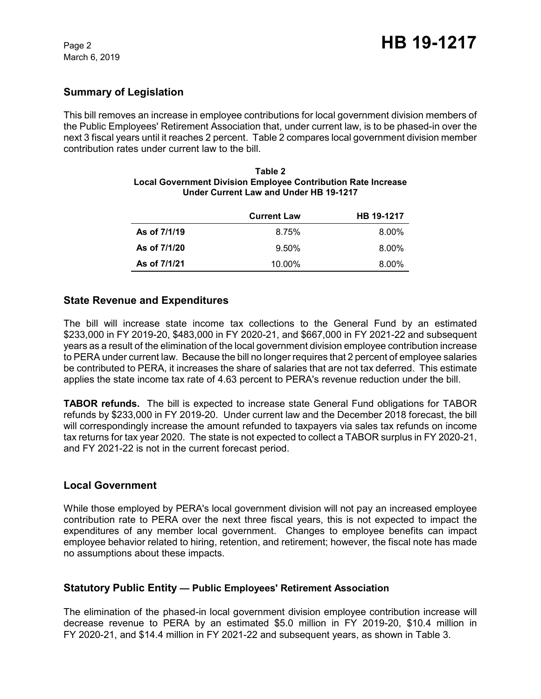## **Summary of Legislation**

This bill removes an increase in employee contributions for local government division members of the Public Employees' Retirement Association that, under current law, is to be phased-in over the next 3 fiscal years until it reaches 2 percent. Table 2 compares local government division member contribution rates under current law to the bill.

| <b>Local Government Division Employee Contribution Rate Increase</b><br>Under Current Law and Under HB 19-1217 |                   |  |
|----------------------------------------------------------------------------------------------------------------|-------------------|--|
| $P_{\text{turb}}$                                                                                              | <b>UD 40 4947</b> |  |

**Table 2**

|              | <b>Current Law</b> | HB 19-1217 |
|--------------|--------------------|------------|
| As of 7/1/19 | 8.75%              | 8.00%      |
| As of 7/1/20 | $9.50\%$           | 8.00%      |
| As of 7/1/21 | 10.00%             | 8.00%      |

### **State Revenue and Expenditures**

The bill will increase state income tax collections to the General Fund by an estimated \$233,000 in FY 2019-20, \$483,000 in FY 2020-21, and \$667,000 in FY 2021-22 and subsequent years as a result of the elimination of the local government division employee contribution increase to PERA under current law. Because the bill no longer requires that 2 percent of employee salaries be contributed to PERA, it increases the share of salaries that are not tax deferred. This estimate applies the state income tax rate of 4.63 percent to PERA's revenue reduction under the bill.

**TABOR refunds.** The bill is expected to increase state General Fund obligations for TABOR refunds by \$233,000 in FY 2019-20. Under current law and the December 2018 forecast, the bill will correspondingly increase the amount refunded to taxpayers via sales tax refunds on income tax returns for tax year 2020. The state is not expected to collect a TABOR surplus in FY 2020-21, and FY 2021-22 is not in the current forecast period.

### **Local Government**

While those employed by PERA's local government division will not pay an increased employee contribution rate to PERA over the next three fiscal years, this is not expected to impact the expenditures of any member local government. Changes to employee benefits can impact employee behavior related to hiring, retention, and retirement; however, the fiscal note has made no assumptions about these impacts.

### **Statutory Public Entity — Public Employees' Retirement Association**

The elimination of the phased-in local government division employee contribution increase will decrease revenue to PERA by an estimated \$5.0 million in FY 2019-20, \$10.4 million in FY 2020-21, and \$14.4 million in FY 2021-22 and subsequent years, as shown in Table 3.